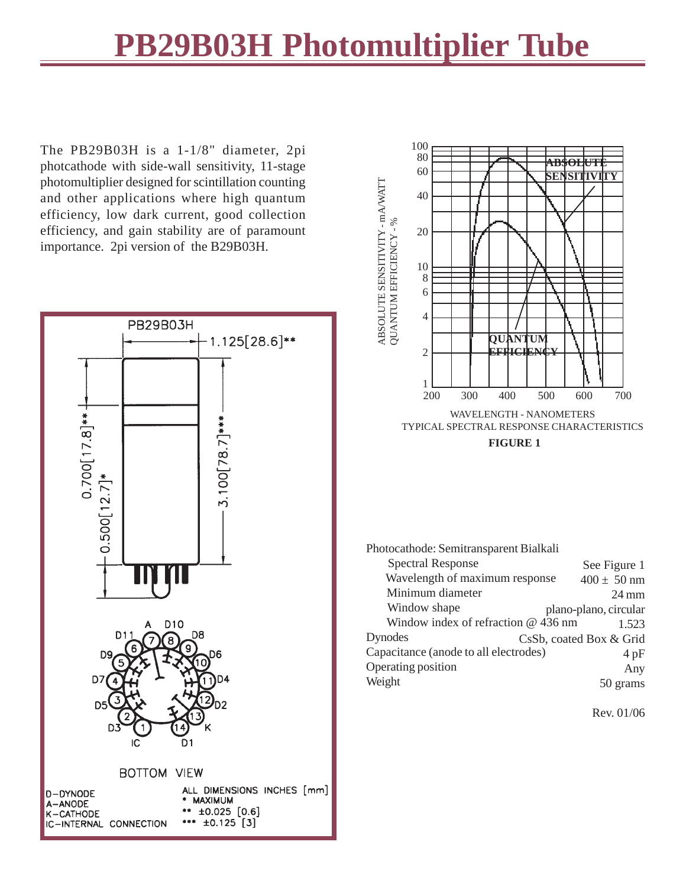## **PB29B03H Photomultiplier Tube**

The PB29B03H is a 1-1/8" diameter, 2pi photcathode with side-wall sensitivity, 11-stage photomultiplier designed for scintillation counting and other applications where high quantum efficiency, low dark current, good collection efficiency, and gain stability are of paramount importance. 2pi version of the B29B03H.





Photocathode: Semitransparent Bialkali

| <b>Spectral Response</b>              | See Figure 1            |                 |
|---------------------------------------|-------------------------|-----------------|
| Wavelength of maximum response        | $400 \pm 50$ nm         |                 |
| Minimum diameter                      |                         | $24 \text{ mm}$ |
| Window shape                          | plano-plano, circular   |                 |
| Window index of refraction @ 436 nm   |                         | 1.523           |
| Dynodes                               | CsSb, coated Box & Grid |                 |
| Capacitance (anode to all electrodes) |                         | 4pF             |
| Operating position                    |                         | Any             |
| Weight                                |                         | 50 grams        |

Rev. 01/06